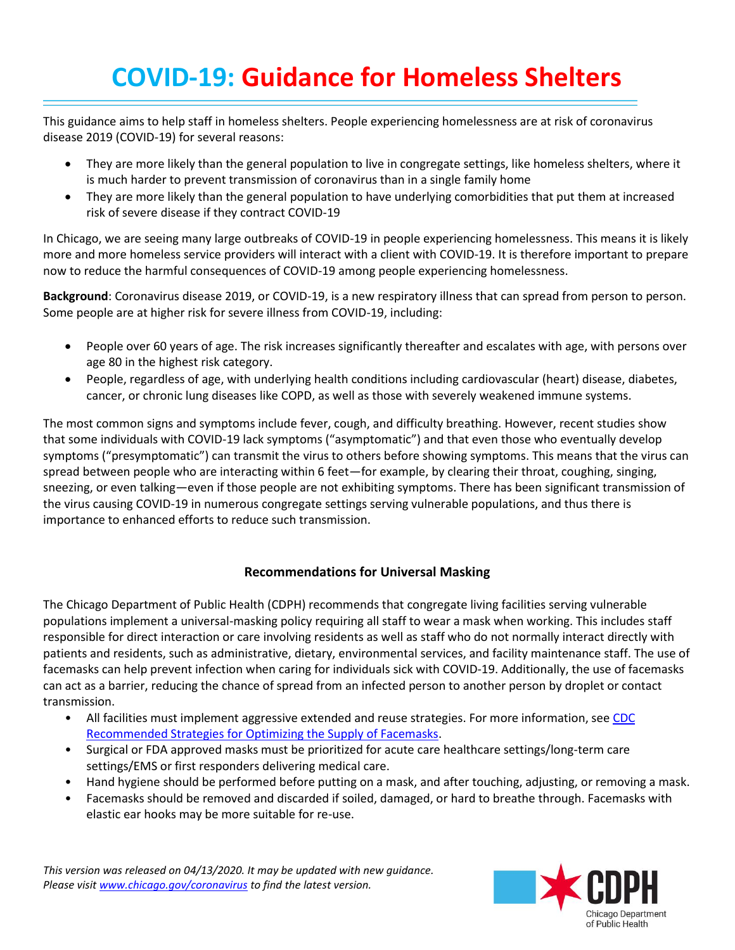# **COVID-19: Guidance for Homeless Shelters**

This guidance aims to help staff in homeless shelters. People experiencing homelessness are at risk of coronavirus disease 2019 (COVID-19) for several reasons:

- They are more likely than the general population to live in congregate settings, like homeless shelters, where it is much harder to prevent transmission of coronavirus than in a single family home
- They are more likely than the general population to have underlying comorbidities that put them at increased risk of severe disease if they contract COVID-19

In Chicago, we are seeing many large outbreaks of COVID-19 in people experiencing homelessness. This means it is likely more and more homeless service providers will interact with a client with COVID-19. It is therefore important to prepare now to reduce the harmful consequences of COVID-19 among people experiencing homelessness.

**Background**: Coronavirus disease 2019, or COVID-19, is a new respiratory illness that can spread from person to person. Some people are at higher risk for severe illness from COVID-19, including:

- People over 60 years of age. The risk increases significantly thereafter and escalates with age, with persons over age 80 in the highest risk category.
- People, regardless of age, with underlying health conditions including cardiovascular (heart) disease, diabetes, cancer, or chronic lung diseases like COPD, as well as those with severely weakened immune systems.

The most common signs and symptoms include fever, cough, and difficulty breathing. However, recent studies show that some individuals with COVID-19 lack symptoms ("asymptomatic") and that even those who eventually develop symptoms ("presymptomatic") can transmit the virus to others before showing symptoms. This means that the virus can spread between people who are interacting within 6 feet—for example, by clearing their throat, coughing, singing, sneezing, or even talking—even if those people are not exhibiting symptoms. There has been significant transmission of the virus causing COVID-19 in numerous congregate settings serving vulnerable populations, and thus there is importance to enhanced efforts to reduce such transmission.

## **Recommendations for Universal Masking**

The Chicago Department of Public Health (CDPH) recommends that congregate living facilities serving vulnerable populations implement a universal-masking policy requiring all staff to wear a mask when working. This includes staff responsible for direct interaction or care involving residents as well as staff who do not normally interact directly with patients and residents, such as administrative, dietary, environmental services, and facility maintenance staff. The use of facemasks can help prevent infection when caring for individuals sick with COVID-19. Additionally, the use of facemasks can act as a barrier, reducing the chance of spread from an infected person to another person by droplet or contact transmission.

- All facilities must implement aggressive extended and reuse strategies. For more information, see CDC [Recommended Strategies for Optimizing the Supply of Facemasks.](https://www.cdc.gov/coronavirus/2019-ncov/hcp/ppe-strategy/face-masks.html)
- Surgical or FDA approved masks must be prioritized for acute care healthcare settings/long-term care settings/EMS or first responders delivering medical care.
- Hand hygiene should be performed before putting on a mask, and after touching, adjusting, or removing a mask.
- Facemasks should be removed and discarded if soiled, damaged, or hard to breathe through. Facemasks with elastic ear hooks may be more suitable for re-use.

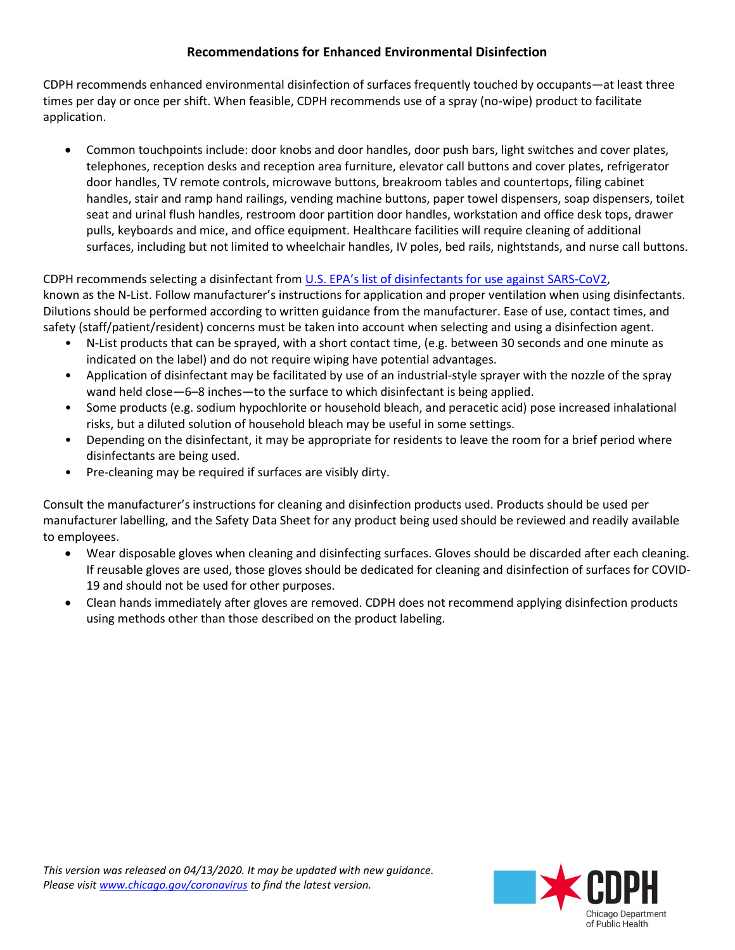# **Recommendations for Enhanced Environmental Disinfection**

CDPH recommends enhanced environmental disinfection of surfaces frequently touched by occupants—at least three times per day or once per shift. When feasible, CDPH recommends use of a spray (no-wipe) product to facilitate application.

 Common touchpoints include: door knobs and door handles, door push bars, light switches and cover plates, telephones, reception desks and reception area furniture, elevator call buttons and cover plates, refrigerator door handles, TV remote controls, microwave buttons, breakroom tables and countertops, filing cabinet handles, stair and ramp hand railings, vending machine buttons, paper towel dispensers, soap dispensers, toilet seat and urinal flush handles, restroom door partition door handles, workstation and office desk tops, drawer pulls, keyboards and mice, and office equipment. Healthcare facilities will require cleaning of additional surfaces, including but not limited to wheelchair handles, IV poles, bed rails, nightstands, and nurse call buttons.

CDPH recommends selecting a disinfectant from [U.S. EPA's list of disinfectants for use against SARS](https://www.epa.gov/pesticide-registration/list-ndisinfectants-)-CoV2, known as the N-List. Follow manufacturer's instructions for application and proper ventilation when using disinfectants. Dilutions should be performed according to written guidance from the manufacturer. Ease of use, contact times, and safety (staff/patient/resident) concerns must be taken into account when selecting and using a disinfection agent.

- N-List products that can be sprayed, with a short contact time, (e.g. between 30 seconds and one minute as indicated on the label) and do not require wiping have potential advantages.
- Application of disinfectant may be facilitated by use of an industrial-style sprayer with the nozzle of the spray wand held close—6–8 inches—to the surface to which disinfectant is being applied.
- Some products (e.g. sodium hypochlorite or household bleach, and peracetic acid) pose increased inhalational risks, but a diluted solution of household bleach may be useful in some settings.
- Depending on the disinfectant, it may be appropriate for residents to leave the room for a brief period where disinfectants are being used.
- Pre-cleaning may be required if surfaces are visibly dirty.

Consult the manufacturer's instructions for cleaning and disinfection products used. Products should be used per manufacturer labelling, and the Safety Data Sheet for any product being used should be reviewed and readily available to employees.

- Wear disposable gloves when cleaning and disinfecting surfaces. Gloves should be discarded after each cleaning. If reusable gloves are used, those gloves should be dedicated for cleaning and disinfection of surfaces for COVID-19 and should not be used for other purposes.
- Clean hands immediately after gloves are removed. CDPH does not recommend applying disinfection products using methods other than those described on the product labeling.

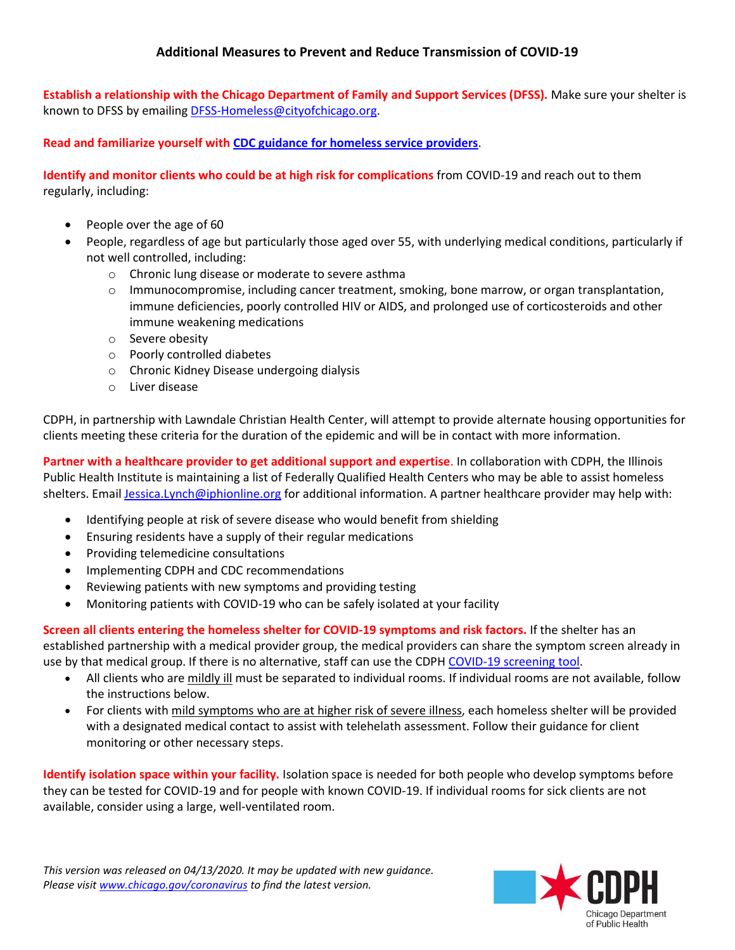**Establish a relationship with the Chicago Department of Family and Support Services (DFSS).** Make sure your shelter is known to DFSS by emailing [DFSS-Homeless@cityofchicago.org.](mailto:DFSS-Homeless@cityofchicago.org)

**Read and familiarize yourself with CDC guidance [for homeless service providers](https://www.cdc.gov/coronavirus/2019-ncov/community/homeless-shelters/plan-prepare-respond.html)**.

**Identify and monitor clients who could be at high risk for complications** from COVID-19 and reach out to them regularly, including:

- People over the age of 60
- People, regardless of age but particularly those aged over 55, with underlying medical conditions, particularly if not well controlled, including:
	- o Chronic lung disease or moderate to severe asthma
	- o Immunocompromise, including cancer treatment, smoking, bone marrow, or organ transplantation, immune deficiencies, poorly controlled HIV or AIDS, and prolonged use of corticosteroids and other immune weakening medications
	- o Severe obesity
	- o Poorly controlled diabetes
	- o Chronic Kidney Disease undergoing dialysis
	- o Liver disease

CDPH, in partnership with Lawndale Christian Health Center, will attempt to provide alternate housing opportunities for clients meeting these criteria for the duration of the epidemic and will be in contact with more information.

**Partner with a healthcare provider to get additional support and expertise**. In collaboration with CDPH, the Illinois Public Health Institute is maintaining a list of Federally Qualified Health Centers who may be able to assist homeless shelters. Emai[l Jessica.Lynch@iphionline.org](mailto:Jessica.Lynch@iphionline.org) for additional information. A partner healthcare provider may help with:

- Identifying people at risk of severe disease who would benefit from shielding
- Ensuring residents have a supply of their regular medications
- Providing telemedicine consultations
- Implementing CDPH and CDC recommendations
- Reviewing patients with new symptoms and providing testing
- Monitoring patients with COVID-19 who can be safely isolated at your facility

**Screen all clients entering the homeless shelter for COVID-19 symptoms and risk factors.** If the shelter has an established partnership with a medical provider group, the medical providers can share the symptom screen already in use by that medical group. If there is no alternative, staff can use the CDPH [COVID-19](http://www.chicago.gov/coronavirus) screening tool.

- All clients who are mildly ill must be separated to individual rooms. If individual rooms are not available, follow the instructions below.
- For clients with mild symptoms who are at higher risk of severe illness, each homeless shelter will be provided with a designated medical contact to assist with telehelath assessment. Follow their guidance for client monitoring or other necessary steps.

**Identify isolation space within your facility.** Isolation space is needed for both people who develop symptoms before they can be tested for COVID-19 and for people with known COVID-19. If individual rooms for sick clients are not available, consider using a large, well-ventilated room.

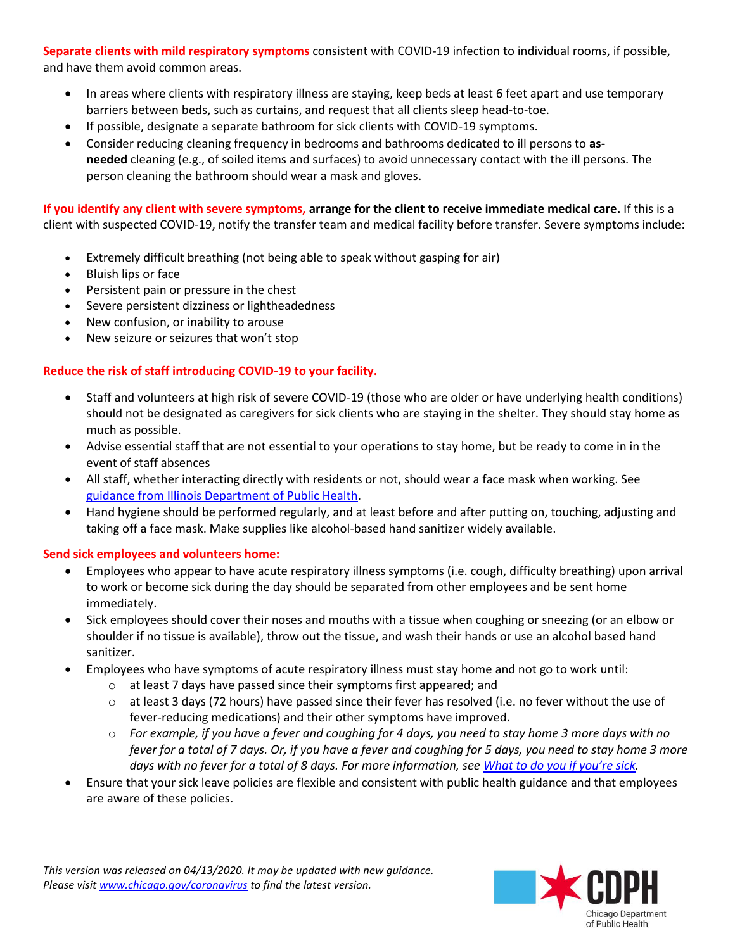**Separate clients with mild respiratory symptoms** consistent with COVID-19 infection to individual rooms, if possible, and have them avoid common areas.

- In areas where clients with respiratory illness are staying, keep beds at least 6 feet apart and use temporary barriers between beds, such as curtains, and request that all clients sleep head-to-toe.
- If possible, designate a separate bathroom for sick clients with COVID-19 symptoms.
- Consider reducing cleaning frequency in bedrooms and bathrooms dedicated to ill persons to **asneeded** cleaning (e.g., of soiled items and surfaces) to avoid unnecessary contact with the ill persons. The person cleaning the bathroom should wear a mask and gloves.

**If you identify any client with severe symptoms, arrange for the client to receive immediate medical care.** If this is a client with suspected COVID-19, notify the transfer team and medical facility before transfer. Severe symptoms include:

- Extremely difficult breathing (not being able to speak without gasping for air)
- Bluish lips or face
- Persistent pain or pressure in the chest
- Severe persistent dizziness or lightheadedness
- New confusion, or inability to arouse
- New seizure or seizures that won't stop

## **Reduce the risk of staff introducing COVID-19 to your facility.**

- Staff and volunteers at high risk of severe COVID-19 (those who are older or have underlying health conditions) should not be designated as caregivers for sick clients who are staying in the shelter. They should stay home as much as possible.
- Advise essential staff that are not essential to your operations to stay home, but be ready to come in in the event of staff absences
- All staff, whether interacting directly with residents or not, should wear a face mask when working. See [guidance from Illinois Department of Public Health.](http://www.dph.illinois.gov/sites/default/files/20200331_COVID-19_Guidance_Congregate_Care_Univ_Masking_and_Env_Disinfection_Attachments.pdf)
- Hand hygiene should be performed regularly, and at least before and after putting on, touching, adjusting and taking off a face mask. Make supplies like alcohol-based hand sanitizer widely available.

#### **Send sick employees and volunteers home:**

- Employees who appear to have acute respiratory illness symptoms (i.e. cough, difficulty breathing) upon arrival to work or become sick during the day should be separated from other employees and be sent home immediately.
- Sick employees should cover their noses and mouths with a tissue when coughing or sneezing (or an elbow or shoulder if no tissue is available), throw out the tissue, and wash their hands or use an alcohol based hand sanitizer.
- Employees who have symptoms of acute respiratory illness must stay home and not go to work until:
	- o at least 7 days have passed since their symptoms first appeared; and
	- $\circ$  at least 3 days (72 hours) have passed since their fever has resolved (i.e. no fever without the use of fever-reducing medications) and their other symptoms have improved.
	- o *For example, if you have a fever and coughing for 4 days, you need to stay home 3 more days with no fever for a total of 7 days. Or, if you have a fever and coughing for 5 days, you need to stay home 3 more days with no fever for a total of 8 days. For more information, see [What to do you if you're sick](https://www.chicago.gov/city/en/sites/covid-19/home/frequently-asked-questions-.html?#faq-sick).*
- Ensure that your sick leave policies are flexible and consistent with public health guidance and that employees are aware of these policies.

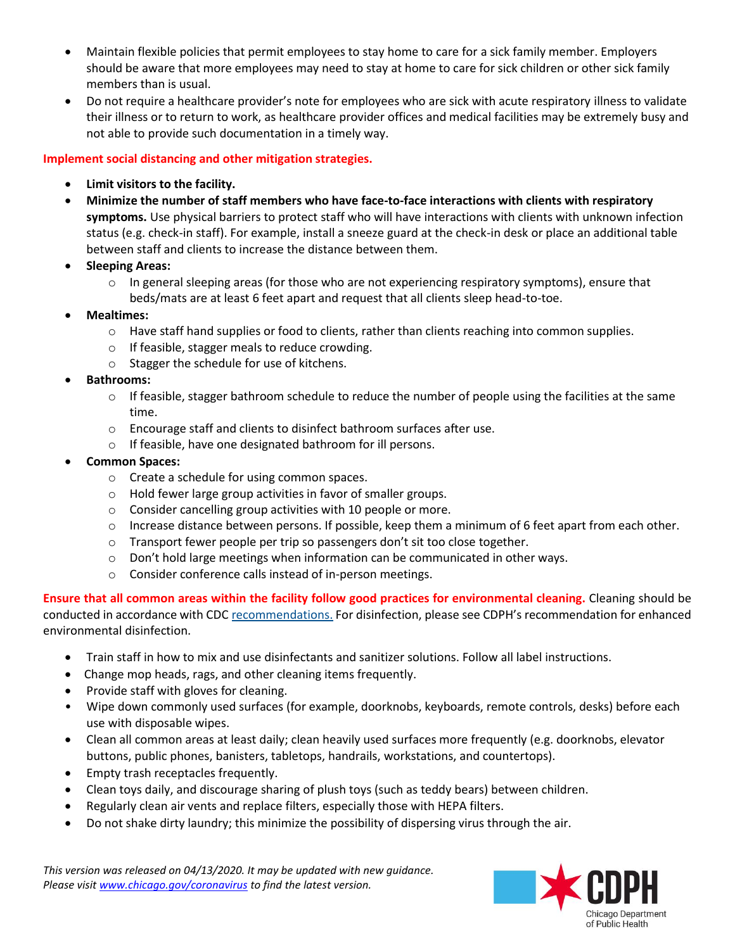- Maintain flexible policies that permit employees to stay home to care for a sick family member. Employers should be aware that more employees may need to stay at home to care for sick children or other sick family members than is usual.
- Do not require a healthcare provider's note for employees who are sick with acute respiratory illness to validate their illness or to return to work, as healthcare provider offices and medical facilities may be extremely busy and not able to provide such documentation in a timely way.

#### **Implement social distancing and other mitigation strategies.**

- **Limit visitors to the facility.**
- **Minimize the number of staff members who have face-to-face interactions with clients with respiratory symptoms.** Use physical barriers to protect staff who will have interactions with clients with unknown infection status (e.g. check-in staff). For example, install a sneeze guard at the check-in desk or place an additional table between staff and clients to increase the distance between them.
- **Sleeping Areas:**
	- $\circ$  In general sleeping areas (for those who are not experiencing respiratory symptoms), ensure that beds/mats are at least 6 feet apart and request that all clients sleep head-to-toe.
- **Mealtimes:** 
	- $\circ$  Have staff hand supplies or food to clients, rather than clients reaching into common supplies.
	- o If feasible, stagger meals to reduce crowding.
	- o Stagger the schedule for use of kitchens.
- **Bathrooms:**
	- $\circ$  If feasible, stagger bathroom schedule to reduce the number of people using the facilities at the same time.
	- o Encourage staff and clients to disinfect bathroom surfaces after use.
	- o If feasible, have one designated bathroom for ill persons.
- **Common Spaces:** 
	- o Create a schedule for using common spaces.
	- o Hold fewer large group activities in favor of smaller groups.
	- o Consider cancelling group activities with 10 people or more.
	- $\circ$  Increase distance between persons. If possible, keep them a minimum of 6 feet apart from each other.
	- o Transport fewer people per trip so passengers don't sit too close together.
	- $\circ$  Don't hold large meetings when information can be communicated in other ways.
	- o Consider conference calls instead of in-person meetings.

**Ensure that all common areas within the facility follow good practices for environmental cleaning.** Cleaning should be conducted in accordance with CDC [recommendations.](https://www.cdc.gov/coronavirus/2019-ncov/community/organizations/cleaning-disinfection.html) For disinfection, please see CDPH's recommendation for enhanced environmental disinfection.

- Train staff in how to mix and use disinfectants and sanitizer solutions. Follow all label instructions.
- Change mop heads, rags, and other cleaning items frequently.
- Provide staff with gloves for cleaning.
- Wipe down commonly used surfaces (for example, doorknobs, keyboards, remote controls, desks) before each use with disposable wipes.
- Clean all common areas at least daily; clean heavily used surfaces more frequently (e.g. doorknobs, elevator buttons, public phones, banisters, tabletops, handrails, workstations, and countertops).
- Empty trash receptacles frequently.
- Clean toys daily, and discourage sharing of plush toys (such as teddy bears) between children.
- Regularly clean air vents and replace filters, especially those with HEPA filters.
- Do not shake dirty laundry; this minimize the possibility of dispersing virus through the air.

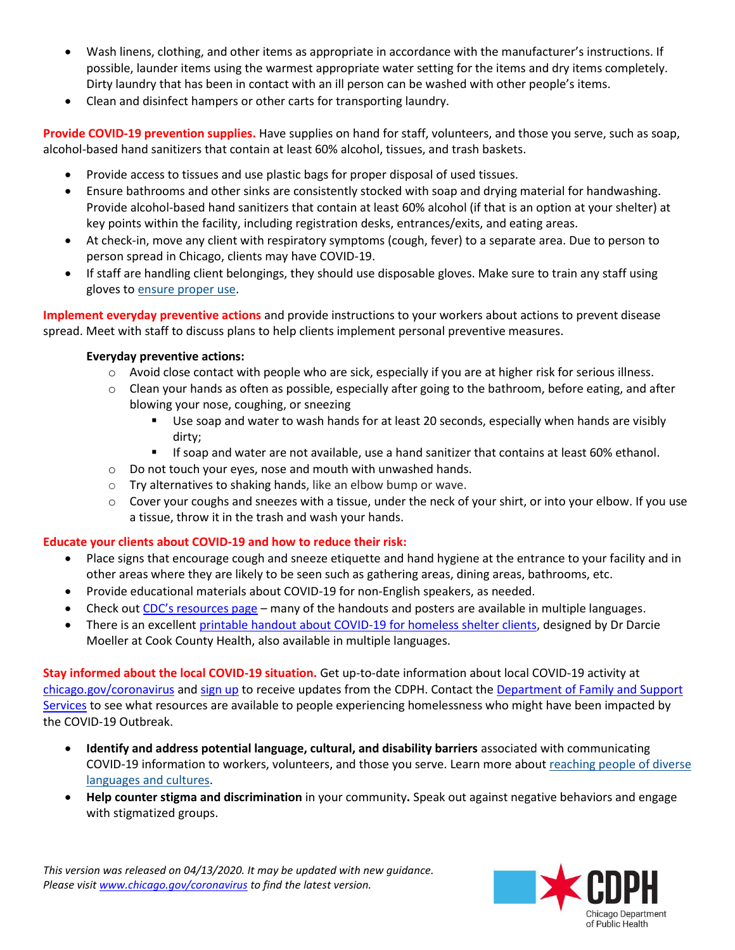- Wash linens, clothing, and other items as appropriate in accordance with the manufacturer's instructions. If possible, launder items using the warmest appropriate water setting for the items and dry items completely. Dirty laundry that has been in contact with an ill person can be washed with other people's items.
- Clean and disinfect hampers or other carts for transporting laundry.

**Provide COVID-19 prevention supplies.** Have supplies on hand for staff, volunteers, and those you serve, such as soap, alcohol-based hand sanitizers that contain at least 60% alcohol, tissues, and trash baskets.

- Provide access to tissues and use plastic bags for proper disposal of used tissues.
- Ensure bathrooms and other sinks are consistently stocked with soap and drying material for handwashing. Provide alcohol-based hand sanitizers that contain at least 60% alcohol (if that is an option at your shelter) at key points within the facility, including registration desks, entrances/exits, and eating areas.
- At check-in, move any client with respiratory symptoms (cough, fever) to a separate area. Due to person to person spread in Chicago, clients may have COVID-19.
- If staff are handling client belongings, they should use disposable gloves. Make sure to train any staff using gloves t[o ensure proper use.](https://www.cdc.gov/handhygiene/campaign/provider-infographic-6.html)

**Implement everyday preventive actions** and provide instructions to your workers about actions to prevent disease spread. Meet with staff to discuss plans to help clients implement personal preventive measures.

#### **Everyday preventive actions:**

- $\circ$  Avoid close contact with people who are sick, especially if you are at higher risk for serious illness.
- o Clean your hands as often as possible, especially after going to the bathroom, before eating, and after blowing your nose, coughing, or sneezing
	- Use soap and water to wash hands for at least 20 seconds, especially when hands are visibly dirty;
	- If soap and water are not available, use a hand sanitizer that contains at least 60% ethanol.
- o Do not touch your eyes, nose and mouth with unwashed hands.
- o Try alternatives to shaking hands, like an elbow bump or wave.
- $\circ$  Cover your coughs and sneezes with a tissue, under the neck of your shirt, or into your elbow. If you use a tissue, throw it in the trash and wash your hands.

#### **Educate your clients about COVID-19 and how to reduce their risk:**

- Place signs that encourage cough and sneeze etiquette and hand hygiene at the entrance to your facility and in other areas where they are likely to be seen such as gathering areas, dining areas, bathrooms, etc.
- Provide educational materials about COVID-19 for non-English speakers, as needed.
- Check out [CDC's resources page](https://www.cdc.gov/coronavirus/2019-ncov/communication/factsheets.html) many of the handouts and posters are available in multiple languages.
- There is an excellent [printable handout about COVID-19 for homeless shelter clients,](https://drdmo.com/2020/04/09/guide-to-covid-19-for-homeless-shelter-clients/) designed by Dr Darcie Moeller at Cook County Health, also available in multiple languages.

**Stay informed about the local COVID-19 situation.** Get up-to-date information about local COVID-19 activity at [chicago.gov/coronavirus](http://www.chicago.gov/coronavirus) and [sign up](https://lp.constantcontactpages.com/su/VwvbSW5/coronavirus) to receive updates from the CDPH. Contact the Department [of Family and Support](https://www.chicago.gov/city/en/depts/fss/provdrs/serv/alerts/2020/march/dfss-response-to-covid-19.html)  [Services](https://www.chicago.gov/city/en/depts/fss/provdrs/serv/alerts/2020/march/dfss-response-to-covid-19.html) to see what resources are available to people experiencing homelessness who might have been impacted by the COVID-19 Outbreak.

- **Identify and address potential language, cultural, and disability barriers** associated with communicating COVID-19 information to workers, volunteers, and those you serve. Learn more about [reaching people of diverse](https://www.cdc.gov/healthcommunication/Audience/index.html)  [languages and cultures.](https://www.cdc.gov/healthcommunication/Audience/index.html)
- **Help counter [stigma and discrimination](https://www.cdc.gov/coronavirus/2019-ncov/about/related-stigma.html)** in your community**.** Speak out against negative behaviors and engage with stigmatized groups.

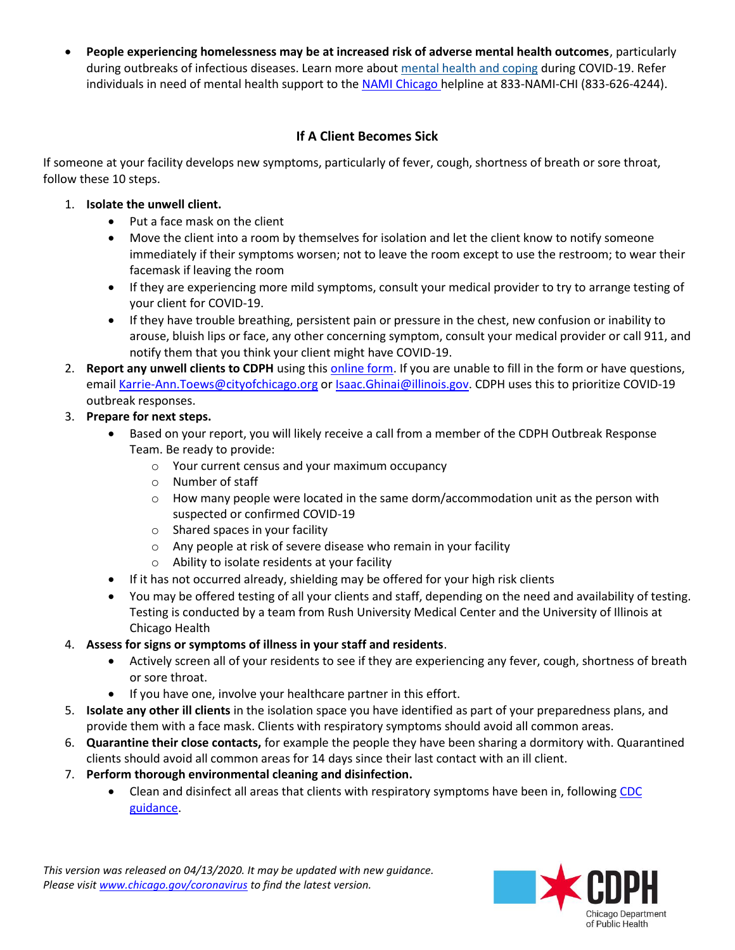**People experiencing homelessness may be at increased risk of adverse mental health outcomes**, particularly during outbreaks of infectious diseases. Learn more about [mental health and coping](https://www.cdc.gov/coronavirus/2019-ncov/about/coping.html) during COVID-19. Refer individuals in need of mental health support to the [NAMI Chicago](https://namichicago.org/en/home/) helpline at 833-NAMI-CHI (833-626-4244).

## **If A Client Becomes Sick**

If someone at your facility develops new symptoms, particularly of fever, cough, shortness of breath or sore throat, follow these 10 steps.

## 1. **Isolate the unwell client.**

- Put a face mask on the client
- Move the client into a room by themselves for isolation and let the client know to notify someone immediately if their symptoms worsen; not to leave the room except to use the restroom; to wear their facemask if leaving the room
- If they are experiencing more mild symptoms, consult your medical provider to try to arrange testing of your client for COVID-19.
- If they have trouble breathing, persistent pain or pressure in the chest, new confusion or inability to arouse, bluish lips or face, any other concerning symptom, consult your medical provider or call 911, and notify them that you think your client might have COVID-19.
- 2. **Report any unwell clients to CDPH** using thi[s online form.](file:///C:/Users/417318/Downloads/a.%09https:/redcap.dph.illinois.gov/surveys/%3fs=FR7MAJAY84) If you are unable to fill in the form or have questions, email [Karrie-Ann.Toews@cityofchicago.org](mailto:Karrie-Ann.Toews@cityofchicago.org) o[r Isaac.Ghinai@illinois.gov.](mailto:Isaac.Ghinai@illinois.gov) CDPH uses this to prioritize COVID-19 outbreak responses.

# 3. **Prepare for next steps.**

- Based on your report, you will likely receive a call from a member of the CDPH Outbreak Response Team. Be ready to provide:
	- o Your current census and your maximum occupancy
	- o Number of staff
	- $\circ$  How many people were located in the same dorm/accommodation unit as the person with suspected or confirmed COVID-19
	- o Shared spaces in your facility
	- o Any people at risk of severe disease who remain in your facility
	- o Ability to isolate residents at your facility
- If it has not occurred already, shielding may be offered for your high risk clients
- You may be offered testing of all your clients and staff, depending on the need and availability of testing. Testing is conducted by a team from Rush University Medical Center and the University of Illinois at Chicago Health

# 4. **Assess for signs or symptoms of illness in your staff and residents**.

- Actively screen all of your residents to see if they are experiencing any fever, cough, shortness of breath or sore throat.
- If you have one, involve your healthcare partner in this effort.
- 5. **Isolate any other ill clients** in the isolation space you have identified as part of your preparedness plans, and provide them with a face mask. Clients with respiratory symptoms should avoid all common areas.
- 6. **Quarantine their close contacts,** for example the people they have been sharing a dormitory with. Quarantined clients should avoid all common areas for 14 days since their last contact with an ill client.
- 7. **Perform thorough environmental cleaning and disinfection.**
	- Clean and disinfect all areas that clients with respiratory symptoms have been in, following CDC [guidance.](file:///C:/Users/417318/Downloads/:%20https:/www.cdc.gov/coronavirus/2019-ncov/community/organizations/cleaning-disinfection.html)